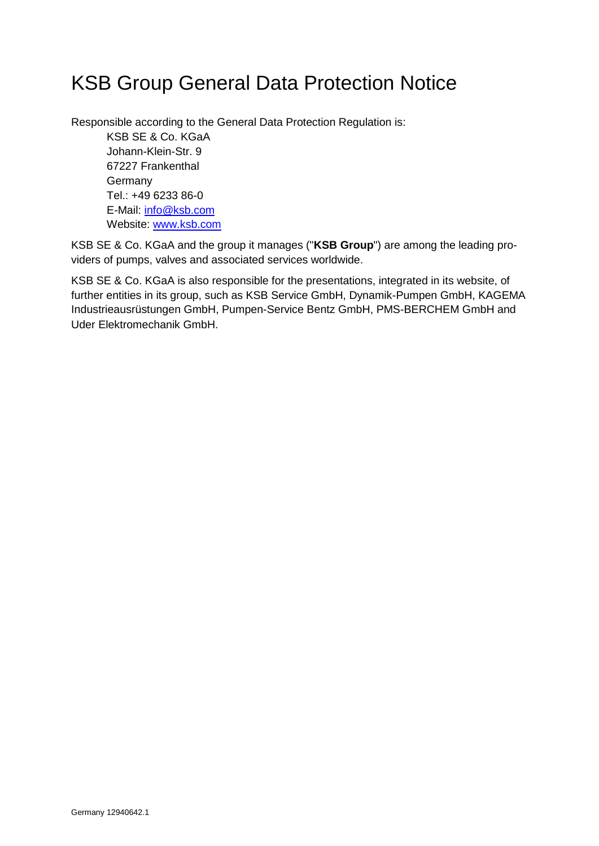# KSB Group General Data Protection Notice

Responsible according to the General Data Protection Regulation is:

KSB SE & Co. KGaA Johann-Klein-Str. 9 67227 Frankenthal Germany Tel.: +49 6233 86-0 E-Mail: [info@ksb.com](about:blank) Website: [www.ksb.com](http://www.ksb.com/)

KSB SE & Co. KGaA and the group it manages ("**KSB Group**") are among the leading providers of pumps, valves and associated services worldwide.

KSB SE & Co. KGaA is also responsible for the presentations, integrated in its website, of further entities in its group, such as KSB Service GmbH, Dynamik-Pumpen GmbH, KAGEMA Industrieausrüstungen GmbH, Pumpen-Service Bentz GmbH, PMS-BERCHEM GmbH and Uder Elektromechanik GmbH.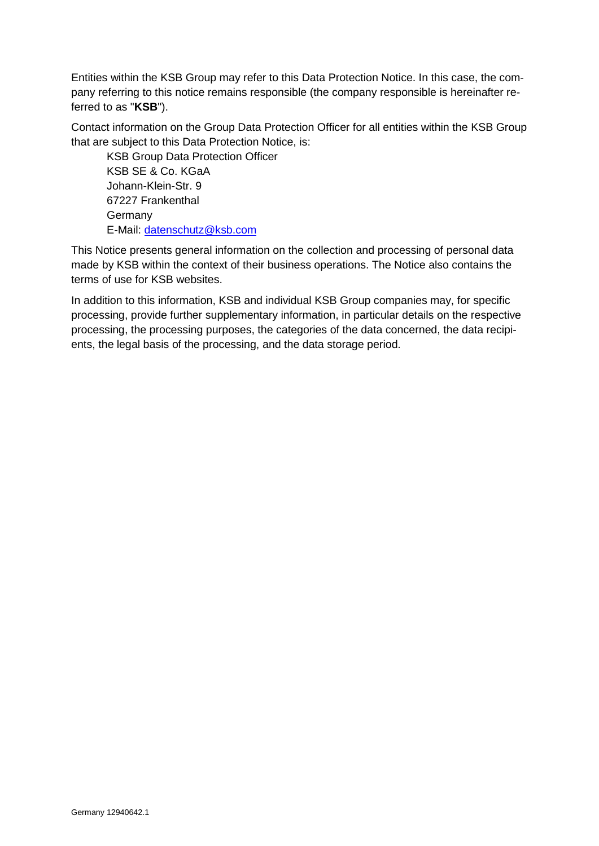Entities within the KSB Group may refer to this Data Protection Notice. In this case, the company referring to this notice remains responsible (the company responsible is hereinafter referred to as "**KSB**").

Contact information on the Group Data Protection Officer for all entities within the KSB Group that are subject to this Data Protection Notice, is:

KSB Group Data Protection Officer KSB SE & Co. KGaA Johann-Klein-Str. 9 67227 Frankenthal Germany E-Mail: [datenschutz@ksb.com](about:blank)

This Notice presents general information on the collection and processing of personal data made by KSB within the context of their business operations. The Notice also contains the terms of use for KSB websites.

In addition to this information, KSB and individual KSB Group companies may, for specific processing, provide further supplementary information, in particular details on the respective processing, the processing purposes, the categories of the data concerned, the data recipients, the legal basis of the processing, and the data storage period.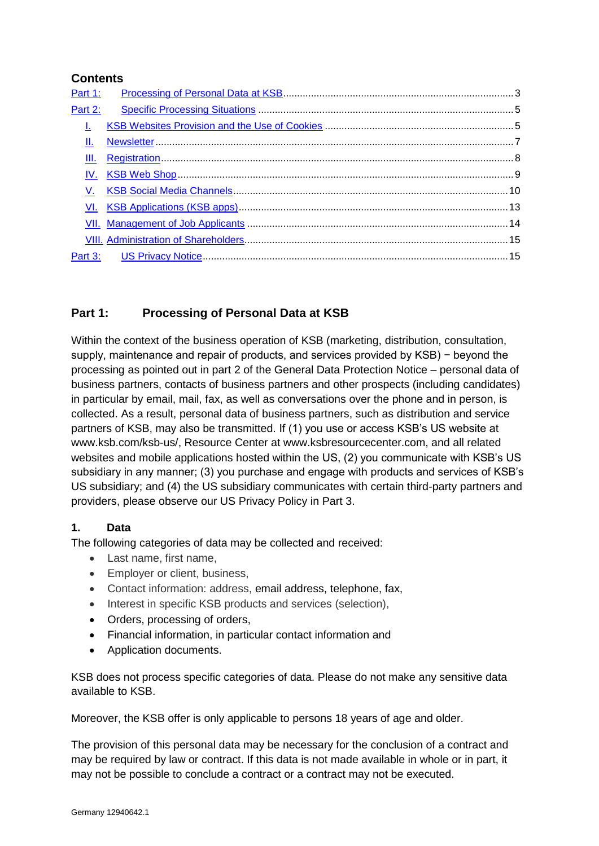# **Contents**

| Part 1:        |  |
|----------------|--|
| Part 2:        |  |
| $\mathbb{R}^n$ |  |
| H.             |  |
| III.           |  |
|                |  |
|                |  |
| VI.            |  |
|                |  |
|                |  |
|                |  |

# <span id="page-2-0"></span>**Part 1: Processing of Personal Data at KSB**

Within the context of the business operation of KSB (marketing, distribution, consultation, supply, maintenance and repair of products, and services provided by KSB) − beyond the processing as pointed out in part 2 of the General Data Protection Notice – personal data of business partners, contacts of business partners and other prospects (including candidates) in particular by email, mail, fax, as well as conversations over the phone and in person, is collected. As a result, personal data of business partners, such as distribution and service partners of KSB, may also be transmitted. If (1) you use or access KSB's US website at www.ksb.com/ksb-us/, Resource Center at www.ksbresourcecenter.com, and all related websites and mobile applications hosted within the US, (2) you communicate with KSB's US subsidiary in any manner; (3) you purchase and engage with products and services of KSB's US subsidiary; and (4) the US subsidiary communicates with certain third-party partners and providers, please observe our US Privacy Policy in Part 3.

## **1. Data**

The following categories of data may be collected and received:

- Last name, first name,
- Employer or client, business,
- Contact information: address, email address, telephone, fax,
- Interest in specific KSB products and services (selection),
- Orders, processing of orders,
- Financial information, in particular contact information and
- Application documents.

KSB does not process specific categories of data. Please do not make any sensitive data available to KSB.

Moreover, the KSB offer is only applicable to persons 18 years of age and older.

The provision of this personal data may be necessary for the conclusion of a contract and may be required by law or contract. If this data is not made available in whole or in part, it may not be possible to conclude a contract or a contract may not be executed.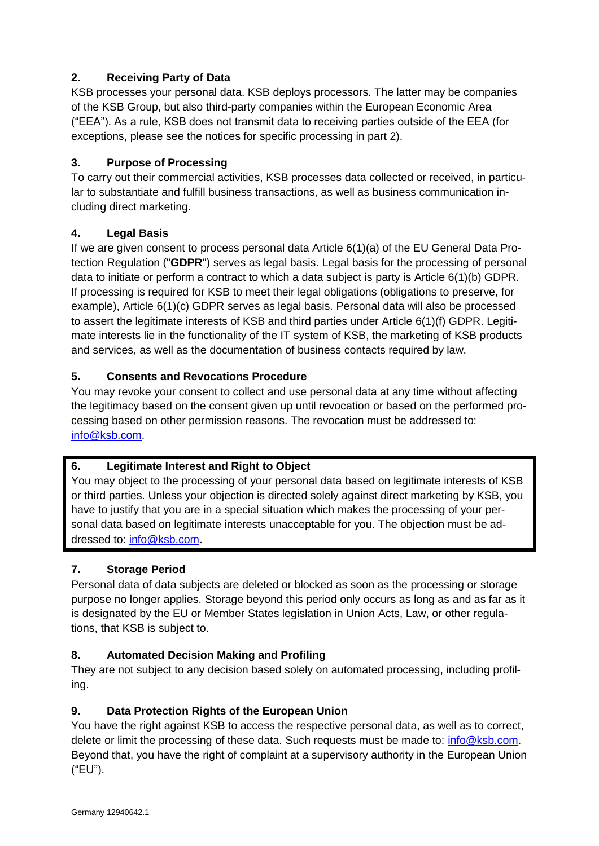# **2. Receiving Party of Data**

KSB processes your personal data. KSB deploys processors. The latter may be companies of the KSB Group, but also third-party companies within the European Economic Area ("EEA"). As a rule, KSB does not transmit data to receiving parties outside of the EEA (for exceptions, please see the notices for specific processing in part 2).

## **3. Purpose of Processing**

To carry out their commercial activities, KSB processes data collected or received, in particular to substantiate and fulfill business transactions, as well as business communication including direct marketing.

## **4. Legal Basis**

If we are given consent to process personal data Article 6(1)(a) of the EU General Data Protection Regulation ("**GDPR**") serves as legal basis. Legal basis for the processing of personal data to initiate or perform a contract to which a data subject is party is Article 6(1)(b) GDPR. If processing is required for KSB to meet their legal obligations (obligations to preserve, for example), Article 6(1)(c) GDPR serves as legal basis. Personal data will also be processed to assert the legitimate interests of KSB and third parties under Article 6(1)(f) GDPR. Legitimate interests lie in the functionality of the IT system of KSB, the marketing of KSB products and services, as well as the documentation of business contacts required by law.

## **5. Consents and Revocations Procedure**

You may revoke your consent to collect and use personal data at any time without affecting the legitimacy based on the consent given up until revocation or based on the performed processing based on other permission reasons. The revocation must be addressed to: [info@ksb.com.](mailto:info@ksb.com)

## **6. Legitimate Interest and Right to Object**

You may object to the processing of your personal data based on legitimate interests of KSB or third parties. Unless your objection is directed solely against direct marketing by KSB, you have to justify that you are in a special situation which makes the processing of your personal data based on legitimate interests unacceptable for you. The objection must be addressed to: [info@ksb.com.](mailto:info@ksb.com)

## **7. Storage Period**

Personal data of data subjects are deleted or blocked as soon as the processing or storage purpose no longer applies. Storage beyond this period only occurs as long as and as far as it is designated by the EU or Member States legislation in Union Acts, Law, or other regulations, that KSB is subject to.

## **8. Automated Decision Making and Profiling**

They are not subject to any decision based solely on automated processing, including profiling.

## **9. Data Protection Rights of the European Union**

You have the right against KSB to access the respective personal data, as well as to correct, delete or limit the processing of these data. Such requests must be made to: [info@ksb.com.](mailto:info@ksb.com) Beyond that, you have the right of complaint at a supervisory authority in the European Union ("EU").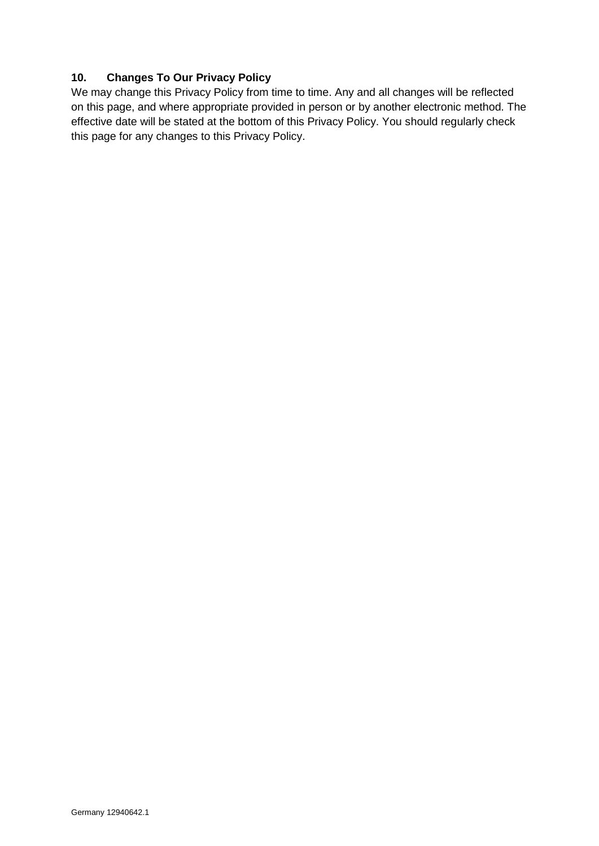## **10. Changes To Our Privacy Policy**

We may change this Privacy Policy from time to time. Any and all changes will be reflected on this page, and where appropriate provided in person or by another electronic method. The effective date will be stated at the bottom of this Privacy Policy. You should regularly check this page for any changes to this Privacy Policy.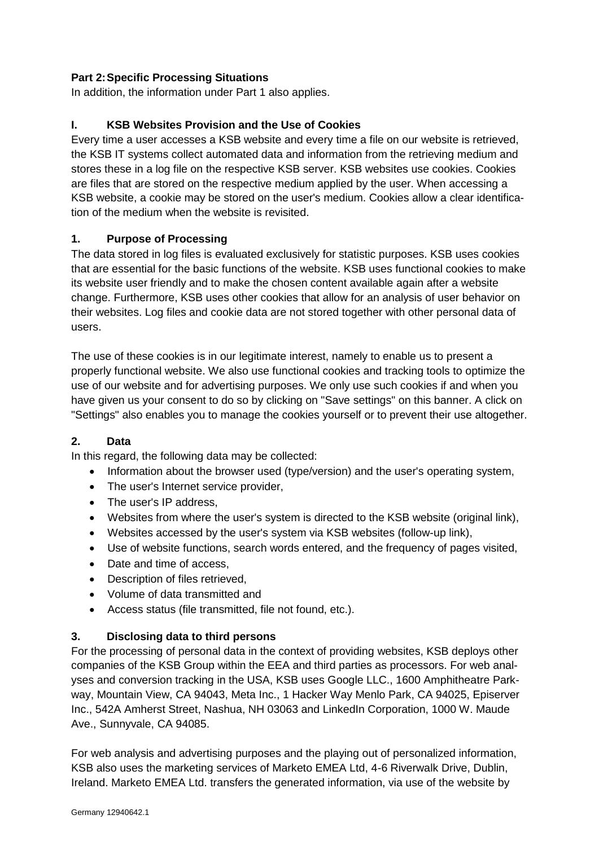## <span id="page-5-0"></span>**Part 2:Specific Processing Situations**

<span id="page-5-1"></span>In addition, the information under Part 1 also applies.

## **I. KSB Websites Provision and the Use of Cookies**

Every time a user accesses a KSB website and every time a file on our website is retrieved, the KSB IT systems collect automated data and information from the retrieving medium and stores these in a log file on the respective KSB server. KSB websites use cookies. Cookies are files that are stored on the respective medium applied by the user. When accessing a KSB website, a cookie may be stored on the user's medium. Cookies allow a clear identification of the medium when the website is revisited.

#### **1. Purpose of Processing**

The data stored in log files is evaluated exclusively for statistic purposes. KSB uses cookies that are essential for the basic functions of the website. KSB uses functional cookies to make its website user friendly and to make the chosen content available again after a website change. Furthermore, KSB uses other cookies that allow for an analysis of user behavior on their websites. Log files and cookie data are not stored together with other personal data of users.

The use of these cookies is in our legitimate interest, namely to enable us to present a properly functional website. We also use functional cookies and tracking tools to optimize the use of our website and for advertising purposes. We only use such cookies if and when you have given us your consent to do so by clicking on "Save settings" on this banner. A click on "Settings" also enables you to manage the cookies yourself or to prevent their use altogether.

#### **2. Data**

In this regard, the following data may be collected:

- Information about the browser used (type/version) and the user's operating system,
- The user's Internet service provider,
- The user's IP address,
- Websites from where the user's system is directed to the KSB website (original link),
- Websites accessed by the user's system via KSB websites (follow-up link),
- Use of website functions, search words entered, and the frequency of pages visited,
- Date and time of access,
- Description of files retrieved.
- Volume of data transmitted and
- Access status (file transmitted, file not found, etc.).

#### **3. Disclosing data to third persons**

For the processing of personal data in the context of providing websites, KSB deploys other companies of the KSB Group within the EEA and third parties as processors. For web analyses and conversion tracking in the USA, KSB uses Google LLC., 1600 Amphitheatre Parkway, Mountain View, CA 94043, Meta Inc., 1 Hacker Way Menlo Park, CA 94025, Episerver Inc., 542A Amherst Street, Nashua, NH 03063 and LinkedIn Corporation, 1000 W. Maude Ave., Sunnyvale, CA 94085.

For web analysis and advertising purposes and the playing out of personalized information, KSB also uses the marketing services of Marketo EMEA Ltd, 4-6 Riverwalk Drive, Dublin, Ireland. Marketo EMEA Ltd. transfers the generated information, via use of the website by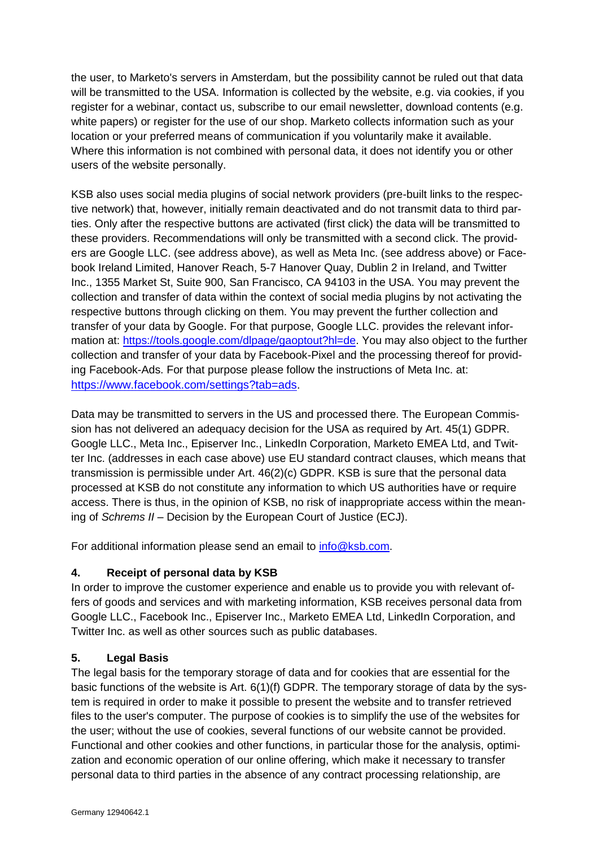the user, to Marketo's servers in Amsterdam, but the possibility cannot be ruled out that data will be transmitted to the USA. Information is collected by the website, e.g. via cookies, if you register for a webinar, contact us, subscribe to our email newsletter, download contents (e.g. white papers) or register for the use of our shop. Marketo collects information such as your location or your preferred means of communication if you voluntarily make it available. Where this information is not combined with personal data, it does not identify you or other users of the website personally.

KSB also uses social media plugins of social network providers (pre-built links to the respective network) that, however, initially remain deactivated and do not transmit data to third parties. Only after the respective buttons are activated (first click) the data will be transmitted to these providers. Recommendations will only be transmitted with a second click. The providers are Google LLC. (see address above), as well as Meta Inc. (see address above) or Facebook Ireland Limited, Hanover Reach, 5-7 Hanover Quay, Dublin 2 in Ireland, and Twitter Inc., 1355 Market St, Suite 900, San Francisco, CA 94103 in the USA. You may prevent the collection and transfer of data within the context of social media plugins by not activating the respective buttons through clicking on them. You may prevent the further collection and transfer of your data by Google. For that purpose, Google LLC. provides the relevant information at: [https://tools.google.com/dlpage/gaoptout?hl=de.](https://tools.google.com/dlpage/gaoptout?hl=de) You may also object to the further collection and transfer of your data by Facebook-Pixel and the processing thereof for providing Facebook-Ads. For that purpose please follow the instructions of Meta Inc. at: <https://www.facebook.com/settings?tab=ads>.

Data may be transmitted to servers in the US and processed there. The European Commission has not delivered an adequacy decision for the USA as required by Art. 45(1) GDPR. Google LLC., Meta Inc., Episerver Inc., LinkedIn Corporation, Marketo EMEA Ltd, and Twitter Inc. (addresses in each case above) use EU standard contract clauses, which means that transmission is permissible under Art. 46(2)(c) GDPR. KSB is sure that the personal data processed at KSB do not constitute any information to which US authorities have or require access. There is thus, in the opinion of KSB, no risk of inappropriate access within the meaning of *Schrems II* – Decision by the European Court of Justice (ECJ).

For additional information please send an email to [info@ksb.com.](mailto:info@ksb.com)

## **4. Receipt of personal data by KSB**

In order to improve the customer experience and enable us to provide you with relevant offers of goods and services and with marketing information, KSB receives personal data from Google LLC., Facebook Inc., Episerver Inc., Marketo EMEA Ltd, LinkedIn Corporation, and Twitter Inc. as well as other sources such as public databases.

# **5. Legal Basis**

The legal basis for the temporary storage of data and for cookies that are essential for the basic functions of the website is Art. 6(1)(f) GDPR. The temporary storage of data by the system is required in order to make it possible to present the website and to transfer retrieved files to the user's computer. The purpose of cookies is to simplify the use of the websites for the user; without the use of cookies, several functions of our website cannot be provided. Functional and other cookies and other functions, in particular those for the analysis, optimization and economic operation of our online offering, which make it necessary to transfer personal data to third parties in the absence of any contract processing relationship, are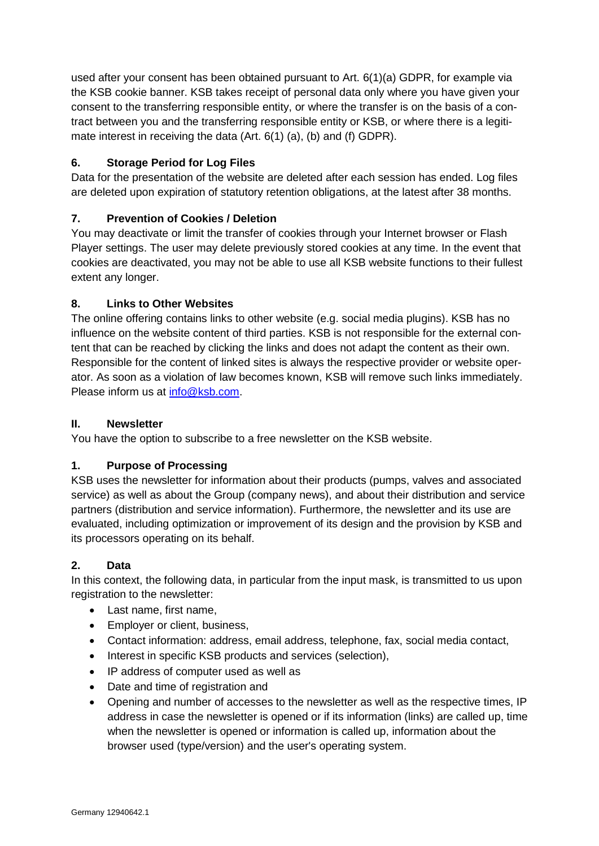used after your consent has been obtained pursuant to Art. 6(1)(a) GDPR, for example via the KSB cookie banner. KSB takes receipt of personal data only where you have given your consent to the transferring responsible entity, or where the transfer is on the basis of a contract between you and the transferring responsible entity or KSB, or where there is a legitimate interest in receiving the data (Art. 6(1) (a), (b) and (f) GDPR).

# **6. Storage Period for Log Files**

Data for the presentation of the website are deleted after each session has ended. Log files are deleted upon expiration of statutory retention obligations, at the latest after 38 months.

## **7. Prevention of Cookies / Deletion**

You may deactivate or limit the transfer of cookies through your Internet browser or Flash Player settings. The user may delete previously stored cookies at any time. In the event that cookies are deactivated, you may not be able to use all KSB website functions to their fullest extent any longer.

## **8. Links to Other Websites**

The online offering contains links to other website (e.g. social media plugins). KSB has no influence on the website content of third parties. KSB is not responsible for the external content that can be reached by clicking the links and does not adapt the content as their own. Responsible for the content of linked sites is always the respective provider or website operator. As soon as a violation of law becomes known, KSB will remove such links immediately. Please inform us at [info@ksb.com.](mailto:info@ksb.com)

#### <span id="page-7-0"></span>**II. Newsletter**

You have the option to subscribe to a free newsletter on the KSB website.

## **1. Purpose of Processing**

KSB uses the newsletter for information about their products (pumps, valves and associated service) as well as about the Group (company news), and about their distribution and service partners (distribution and service information). Furthermore, the newsletter and its use are evaluated, including optimization or improvement of its design and the provision by KSB and its processors operating on its behalf.

## **2. Data**

In this context, the following data, in particular from the input mask, is transmitted to us upon registration to the newsletter:

- Last name, first name,
- Employer or client, business,
- Contact information: address, email address, telephone, fax, social media contact,
- Interest in specific KSB products and services (selection),
- IP address of computer used as well as
- Date and time of registration and
- Opening and number of accesses to the newsletter as well as the respective times, IP address in case the newsletter is opened or if its information (links) are called up, time when the newsletter is opened or information is called up, information about the browser used (type/version) and the user's operating system.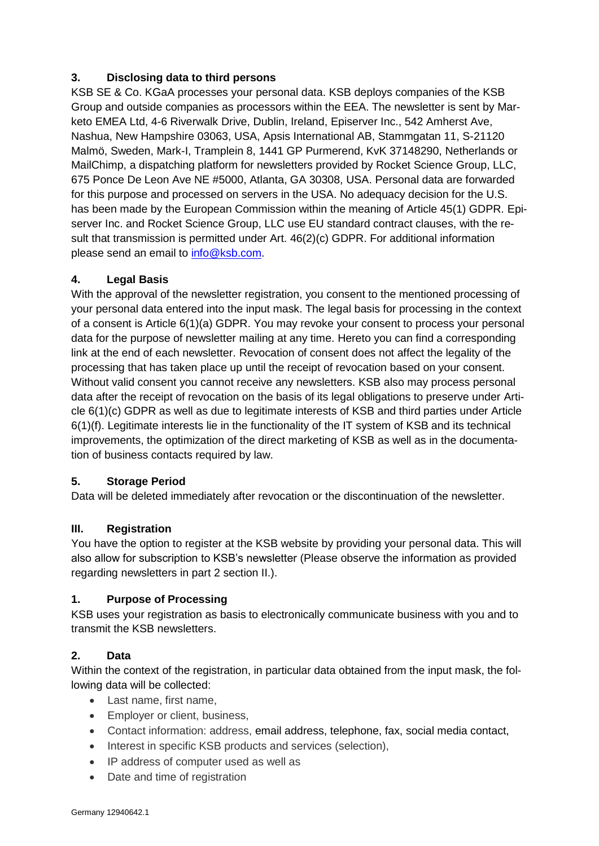## **3. Disclosing data to third persons**

KSB SE & Co. KGaA processes your personal data. KSB deploys companies of the KSB Group and outside companies as processors within the EEA. The newsletter is sent by Marketo EMEA Ltd, 4-6 Riverwalk Drive, Dublin, Ireland, Episerver Inc., 542 Amherst Ave, Nashua, New Hampshire 03063, USA, Apsis International AB, Stammgatan 11, S-21120 Malmö, Sweden, Mark-I, Tramplein 8, 1441 GP Purmerend, KvK 37148290, Netherlands or MailChimp, a dispatching platform for newsletters provided by Rocket Science Group, LLC, 675 Ponce De Leon Ave NE #5000, Atlanta, GA 30308, USA. Personal data are forwarded for this purpose and processed on servers in the USA. No adequacy decision for the U.S. has been made by the European Commission within the meaning of Article 45(1) GDPR. Episerver Inc. and Rocket Science Group, LLC use EU standard contract clauses, with the result that transmission is permitted under Art. 46(2)(c) GDPR. For additional information please send an email to [info@ksb.com.](mailto:info@ksb.com)

## **4. Legal Basis**

With the approval of the newsletter registration, you consent to the mentioned processing of your personal data entered into the input mask. The legal basis for processing in the context of a consent is Article 6(1)(a) GDPR. You may revoke your consent to process your personal data for the purpose of newsletter mailing at any time. Hereto you can find a corresponding link at the end of each newsletter. Revocation of consent does not affect the legality of the processing that has taken place up until the receipt of revocation based on your consent. Without valid consent you cannot receive any newsletters. KSB also may process personal data after the receipt of revocation on the basis of its legal obligations to preserve under Article 6(1)(c) GDPR as well as due to legitimate interests of KSB and third parties under Article 6(1)(f). Legitimate interests lie in the functionality of the IT system of KSB and its technical improvements, the optimization of the direct marketing of KSB as well as in the documentation of business contacts required by law.

## **5. Storage Period**

<span id="page-8-0"></span>Data will be deleted immediately after revocation or the discontinuation of the newsletter.

## **III. Registration**

You have the option to register at the KSB website by providing your personal data. This will also allow for subscription to KSB's newsletter (Please observe the information as provided regarding newsletters in part 2 section II.).

## **1. Purpose of Processing**

KSB uses your registration as basis to electronically communicate business with you and to transmit the KSB newsletters.

## **2. Data**

Within the context of the registration, in particular data obtained from the input mask, the following data will be collected:

- Last name, first name,
- Employer or client, business,
- Contact information: address, email address, telephone, fax, social media contact,
- Interest in specific KSB products and services (selection),
- IP address of computer used as well as
- Date and time of registration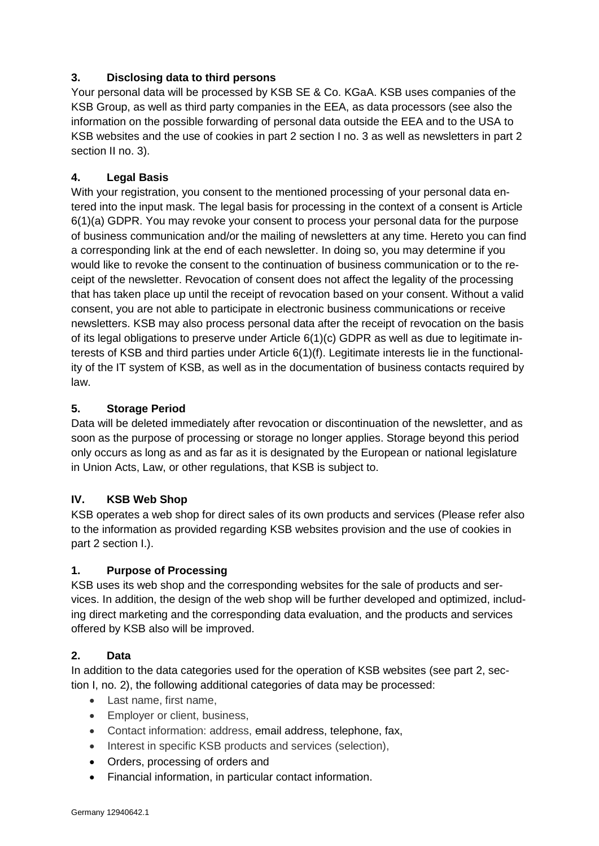# **3. Disclosing data to third persons**

Your personal data will be processed by KSB SE & Co. KGaA. KSB uses companies of the KSB Group, as well as third party companies in the EEA, as data processors (see also the information on the possible forwarding of personal data outside the EEA and to the USA to KSB websites and the use of cookies in part 2 section I no. 3 as well as newsletters in part 2 section II no. 3).

## **4. Legal Basis**

With your registration, you consent to the mentioned processing of your personal data entered into the input mask. The legal basis for processing in the context of a consent is Article 6(1)(a) GDPR. You may revoke your consent to process your personal data for the purpose of business communication and/or the mailing of newsletters at any time. Hereto you can find a corresponding link at the end of each newsletter. In doing so, you may determine if you would like to revoke the consent to the continuation of business communication or to the receipt of the newsletter. Revocation of consent does not affect the legality of the processing that has taken place up until the receipt of revocation based on your consent. Without a valid consent, you are not able to participate in electronic business communications or receive newsletters. KSB may also process personal data after the receipt of revocation on the basis of its legal obligations to preserve under Article 6(1)(c) GDPR as well as due to legitimate interests of KSB and third parties under Article 6(1)(f). Legitimate interests lie in the functionality of the IT system of KSB, as well as in the documentation of business contacts required by law.

## **5. Storage Period**

Data will be deleted immediately after revocation or discontinuation of the newsletter, and as soon as the purpose of processing or storage no longer applies. Storage beyond this period only occurs as long as and as far as it is designated by the European or national legislature in Union Acts, Law, or other regulations, that KSB is subject to.

## <span id="page-9-0"></span>**IV. KSB Web Shop**

KSB operates a web shop for direct sales of its own products and services (Please refer also to the information as provided regarding KSB websites provision and the use of cookies in part 2 section I.).

## **1. Purpose of Processing**

KSB uses its web shop and the corresponding websites for the sale of products and services. In addition, the design of the web shop will be further developed and optimized, including direct marketing and the corresponding data evaluation, and the products and services offered by KSB also will be improved.

## **2. Data**

In addition to the data categories used for the operation of KSB websites (see part 2, section I, no. 2), the following additional categories of data may be processed:

- Last name, first name,
- Employer or client, business,
- Contact information: address, email address, telephone, fax,
- Interest in specific KSB products and services (selection),
- Orders, processing of orders and
- Financial information, in particular contact information.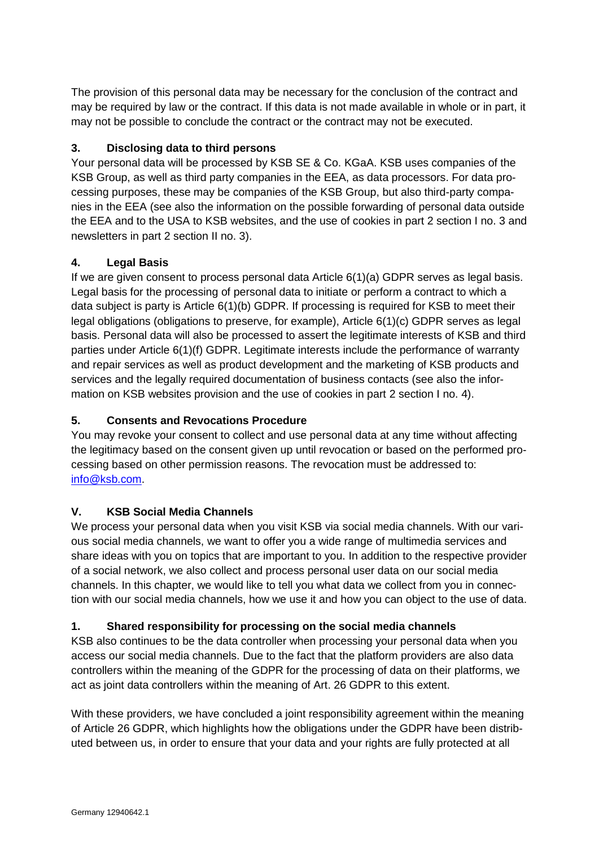The provision of this personal data may be necessary for the conclusion of the contract and may be required by law or the contract. If this data is not made available in whole or in part, it may not be possible to conclude the contract or the contract may not be executed.

## **3. Disclosing data to third persons**

Your personal data will be processed by KSB SE & Co. KGaA. KSB uses companies of the KSB Group, as well as third party companies in the EEA, as data processors. For data processing purposes, these may be companies of the KSB Group, but also third-party companies in the EEA (see also the information on the possible forwarding of personal data outside the EEA and to the USA to KSB websites, and the use of cookies in part 2 section I no. 3 and newsletters in part 2 section II no. 3).

## **4. Legal Basis**

If we are given consent to process personal data Article 6(1)(a) GDPR serves as legal basis. Legal basis for the processing of personal data to initiate or perform a contract to which a data subject is party is Article 6(1)(b) GDPR. If processing is required for KSB to meet their legal obligations (obligations to preserve, for example), Article 6(1)(c) GDPR serves as legal basis. Personal data will also be processed to assert the legitimate interests of KSB and third parties under Article 6(1)(f) GDPR. Legitimate interests include the performance of warranty and repair services as well as product development and the marketing of KSB products and services and the legally required documentation of business contacts (see also the information on KSB websites provision and the use of cookies in part 2 section I no. 4).

## **5. Consents and Revocations Procedure**

You may revoke your consent to collect and use personal data at any time without affecting the legitimacy based on the consent given up until revocation or based on the performed processing based on other permission reasons. The revocation must be addressed to: [info@ksb.com.](mailto:info@ksb.com)

## <span id="page-10-0"></span>**V. KSB Social Media Channels**

We process your personal data when you visit KSB via social media channels. With our various social media channels, we want to offer you a wide range of multimedia services and share ideas with you on topics that are important to you. In addition to the respective provider of a social network, we also collect and process personal user data on our social media channels. In this chapter, we would like to tell you what data we collect from you in connection with our social media channels, how we use it and how you can object to the use of data.

## **1. Shared responsibility for processing on the social media channels**

KSB also continues to be the data controller when processing your personal data when you access our social media channels. Due to the fact that the platform providers are also data controllers within the meaning of the GDPR for the processing of data on their platforms, we act as joint data controllers within the meaning of Art. 26 GDPR to this extent.

With these providers, we have concluded a joint responsibility agreement within the meaning of Article 26 GDPR, which highlights how the obligations under the GDPR have been distributed between us, in order to ensure that your data and your rights are fully protected at all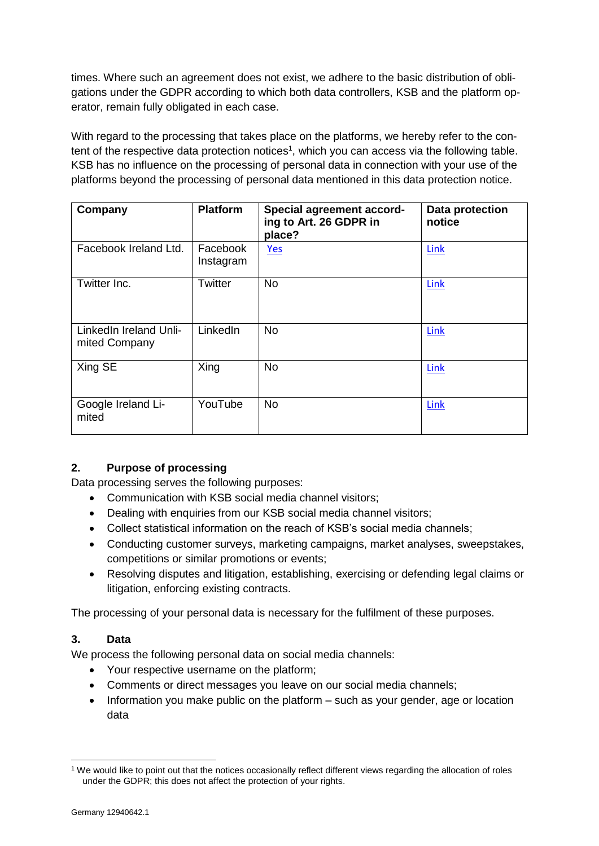times. Where such an agreement does not exist, we adhere to the basic distribution of obligations under the GDPR according to which both data controllers, KSB and the platform operator, remain fully obligated in each case.

With regard to the processing that takes place on the platforms, we hereby refer to the content of the respective data protection notices<sup>1</sup>, which you can access via the following table. KSB has no influence on the processing of personal data in connection with your use of the platforms beyond the processing of personal data mentioned in this data protection notice.

| Company                                 | <b>Platform</b>       | Special agreement accord-<br>ing to Art. 26 GDPR in<br>place? | Data protection<br>notice |
|-----------------------------------------|-----------------------|---------------------------------------------------------------|---------------------------|
| Facebook Ireland Ltd.                   | Facebook<br>Instagram | Yes                                                           | <b>Link</b>               |
| Twitter Inc.                            | <b>Twitter</b>        | <b>No</b>                                                     | <b>Link</b>               |
| LinkedIn Ireland Unli-<br>mited Company | LinkedIn              | <b>No</b>                                                     | <b>Link</b>               |
| Xing SE                                 | Xing                  | <b>No</b>                                                     | Link                      |
| Google Ireland Li-<br>mited             | YouTube               | <b>No</b>                                                     | Link                      |

## **2. Purpose of processing**

Data processing serves the following purposes:

- Communication with KSB social media channel visitors;
- Dealing with enquiries from our KSB social media channel visitors;
- Collect statistical information on the reach of KSB's social media channels;
- Conducting customer surveys, marketing campaigns, market analyses, sweepstakes, competitions or similar promotions or events;
- Resolving disputes and litigation, establishing, exercising or defending legal claims or litigation, enforcing existing contracts.

The processing of your personal data is necessary for the fulfilment of these purposes.

## **3. Data**

We process the following personal data on social media channels:

- Your respective username on the platform;
- Comments or direct messages you leave on our social media channels;
- $\bullet$  Information you make public on the platform  $-$  such as your gender, age or location data

<sup>1</sup> <sup>1</sup> We would like to point out that the notices occasionally reflect different views regarding the allocation of roles under the GDPR; this does not affect the protection of your rights.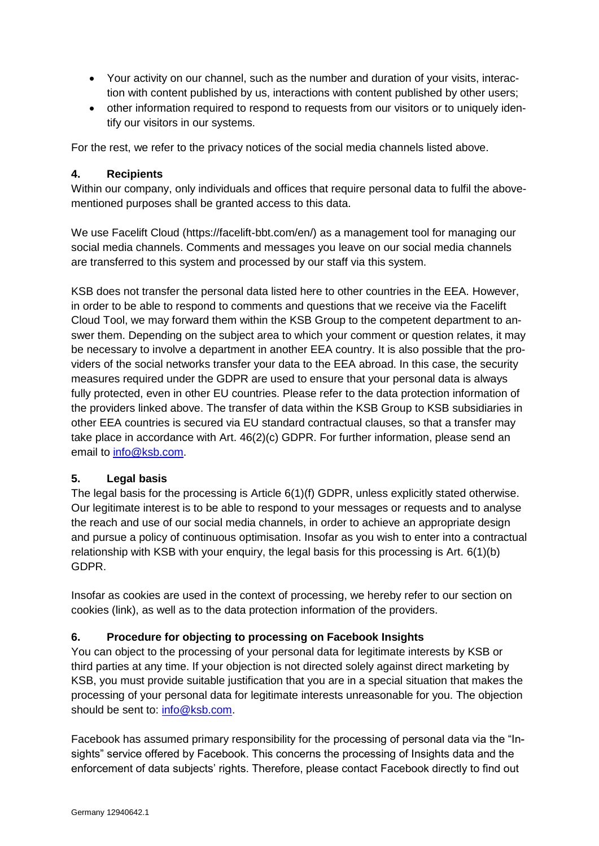- Your activity on our channel, such as the number and duration of your visits, interaction with content published by us, interactions with content published by other users;
- other information required to respond to requests from our visitors or to uniquely identify our visitors in our systems.

For the rest, we refer to the privacy notices of the social media channels listed above.

#### **4. Recipients**

Within our company, only individuals and offices that require personal data to fulfil the abovementioned purposes shall be granted access to this data.

We use Facelift Cloud (https://facelift-bbt.com/en/) as a management tool for managing our social media channels. Comments and messages you leave on our social media channels are transferred to this system and processed by our staff via this system.

KSB does not transfer the personal data listed here to other countries in the EEA. However, in order to be able to respond to comments and questions that we receive via the Facelift Cloud Tool, we may forward them within the KSB Group to the competent department to answer them. Depending on the subject area to which your comment or question relates, it may be necessary to involve a department in another EEA country. It is also possible that the providers of the social networks transfer your data to the EEA abroad. In this case, the security measures required under the GDPR are used to ensure that your personal data is always fully protected, even in other EU countries. Please refer to the data protection information of the providers linked above. The transfer of data within the KSB Group to KSB subsidiaries in other EEA countries is secured via EU standard contractual clauses, so that a transfer may take place in accordance with Art. 46(2)(c) GDPR. For further information, please send an email to [info@ksb.com.](mailto:info@ksb.com)

## **5. Legal basis**

The legal basis for the processing is Article 6(1)(f) GDPR, unless explicitly stated otherwise. Our legitimate interest is to be able to respond to your messages or requests and to analyse the reach and use of our social media channels, in order to achieve an appropriate design and pursue a policy of continuous optimisation. Insofar as you wish to enter into a contractual relationship with KSB with your enquiry, the legal basis for this processing is Art. 6(1)(b) GDPR.

Insofar as cookies are used in the context of processing, we hereby refer to our section on cookies (link), as well as to the data protection information of the providers.

## **6. Procedure for objecting to processing on Facebook Insights**

You can object to the processing of your personal data for legitimate interests by KSB or third parties at any time. If your objection is not directed solely against direct marketing by KSB, you must provide suitable justification that you are in a special situation that makes the processing of your personal data for legitimate interests unreasonable for you. The objection should be sent to: [info@ksb.com.](mailto:info@ksb.com)

Facebook has assumed primary responsibility for the processing of personal data via the "Insights" service offered by Facebook. This concerns the processing of Insights data and the enforcement of data subjects' rights. Therefore, please contact Facebook directly to find out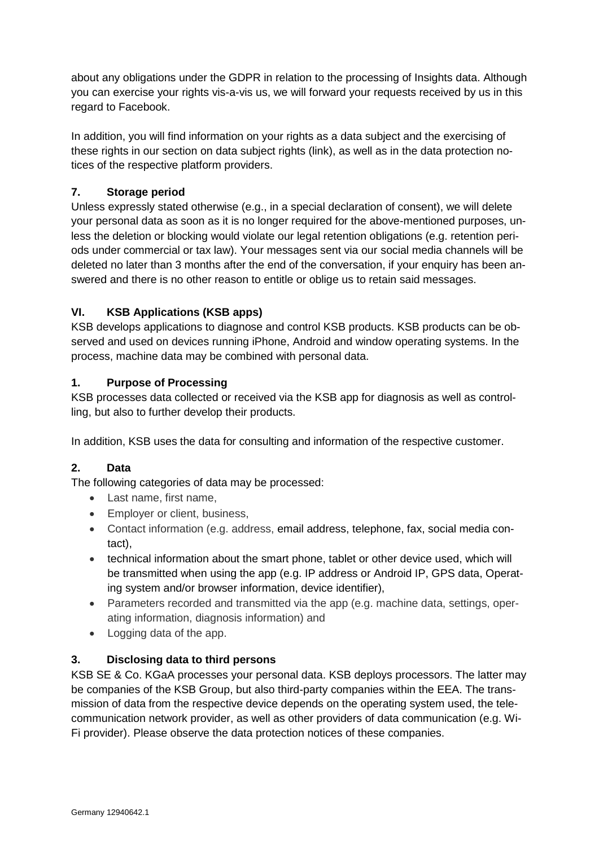about any obligations under the GDPR in relation to the processing of Insights data. Although you can exercise your rights vis-a-vis us, we will forward your requests received by us in this regard to Facebook.

In addition, you will find information on your rights as a data subject and the exercising of these rights in our section on data subject rights (link), as well as in the data protection notices of the respective platform providers.

# **7. Storage period**

Unless expressly stated otherwise (e.g., in a special declaration of consent), we will delete your personal data as soon as it is no longer required for the above-mentioned purposes, unless the deletion or blocking would violate our legal retention obligations (e.g. retention periods under commercial or tax law). Your messages sent via our social media channels will be deleted no later than 3 months after the end of the conversation, if your enquiry has been answered and there is no other reason to entitle or oblige us to retain said messages.

# **VI. KSB Applications (KSB apps)**

KSB develops applications to diagnose and control KSB products. KSB products can be observed and used on devices running iPhone, Android and window operating systems. In the process, machine data may be combined with personal data.

## **1. Purpose of Processing**

KSB processes data collected or received via the KSB app for diagnosis as well as controlling, but also to further develop their products.

In addition, KSB uses the data for consulting and information of the respective customer.

# **2. Data**

The following categories of data may be processed:

- Last name, first name,
- Employer or client, business,
- Contact information (e.g. address, email address, telephone, fax, social media contact),
- technical information about the smart phone, tablet or other device used, which will be transmitted when using the app (e.g. IP address or Android IP, GPS data, Operating system and/or browser information, device identifier),
- Parameters recorded and transmitted via the app (e.g. machine data, settings, operating information, diagnosis information) and
- Logging data of the app.

# **3. Disclosing data to third persons**

KSB SE & Co. KGaA processes your personal data. KSB deploys processors. The latter may be companies of the KSB Group, but also third-party companies within the EEA. The transmission of data from the respective device depends on the operating system used, the telecommunication network provider, as well as other providers of data communication (e.g. Wi-Fi provider). Please observe the data protection notices of these companies.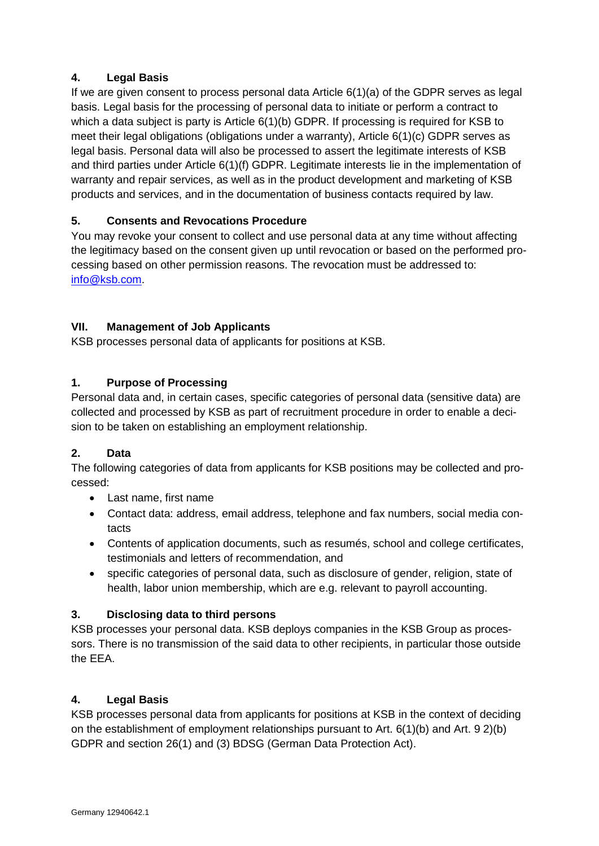# **4. Legal Basis**

If we are given consent to process personal data Article 6(1)(a) of the GDPR serves as legal basis. Legal basis for the processing of personal data to initiate or perform a contract to which a data subject is party is Article 6(1)(b) GDPR. If processing is required for KSB to meet their legal obligations (obligations under a warranty), Article 6(1)(c) GDPR serves as legal basis. Personal data will also be processed to assert the legitimate interests of KSB and third parties under Article 6(1)(f) GDPR. Legitimate interests lie in the implementation of warranty and repair services, as well as in the product development and marketing of KSB products and services, and in the documentation of business contacts required by law.

## **5. Consents and Revocations Procedure**

You may revoke your consent to collect and use personal data at any time without affecting the legitimacy based on the consent given up until revocation or based on the performed processing based on other permission reasons. The revocation must be addressed to: [info@ksb.com.](mailto:info@ksb.com)

## <span id="page-14-0"></span>**VII. Management of Job Applicants**

KSB processes personal data of applicants for positions at KSB.

## **1. Purpose of Processing**

Personal data and, in certain cases, specific categories of personal data (sensitive data) are collected and processed by KSB as part of recruitment procedure in order to enable a decision to be taken on establishing an employment relationship.

## **2. Data**

The following categories of data from applicants for KSB positions may be collected and processed:

- Last name, first name
- Contact data: address, email address, telephone and fax numbers, social media contacts
- Contents of application documents, such as resumés, school and college certificates, testimonials and letters of recommendation, and
- specific categories of personal data, such as disclosure of gender, religion, state of health, labor union membership, which are e.g. relevant to payroll accounting.

## **3. Disclosing data to third persons**

KSB processes your personal data. KSB deploys companies in the KSB Group as processors. There is no transmission of the said data to other recipients, in particular those outside the EEA.

## **4. Legal Basis**

KSB processes personal data from applicants for positions at KSB in the context of deciding on the establishment of employment relationships pursuant to Art. 6(1)(b) and Art. 9 2)(b) GDPR and section 26(1) and (3) BDSG (German Data Protection Act).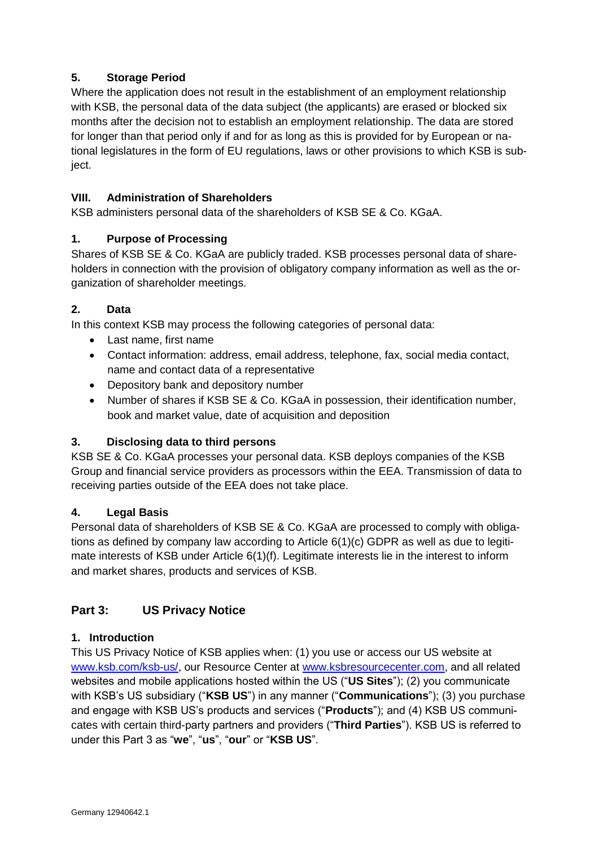# **5. Storage Period**

Where the application does not result in the establishment of an employment relationship with KSB, the personal data of the data subject (the applicants) are erased or blocked six months after the decision not to establish an employment relationship. The data are stored for longer than that period only if and for as long as this is provided for by European or national legislatures in the form of EU regulations, laws or other provisions to which KSB is subject.

## <span id="page-15-0"></span>**VIII. Administration of Shareholders**

KSB administers personal data of the shareholders of KSB SE & Co. KGaA.

## **1. Purpose of Processing**

Shares of KSB SE & Co. KGaA are publicly traded. KSB processes personal data of shareholders in connection with the provision of obligatory company information as well as the organization of shareholder meetings.

#### **2. Data**

In this context KSB may process the following categories of personal data:

- Last name, first name
- Contact information: address, email address, telephone, fax, social media contact, name and contact data of a representative
- Depository bank and depository number
- Number of shares if KSB SE & Co. KGaA in possession, their identification number, book and market value, date of acquisition and deposition

#### **3. Disclosing data to third persons**

KSB SE & Co. KGaA processes your personal data. KSB deploys companies of the KSB Group and financial service providers as processors within the EEA. Transmission of data to receiving parties outside of the EEA does not take place.

#### **4. Legal Basis**

Personal data of shareholders of KSB SE & Co. KGaA are processed to comply with obligations as defined by company law according to Article 6(1)(c) GDPR as well as due to legitimate interests of KSB under Article 6(1)(f). Legitimate interests lie in the interest to inform and market shares, products and services of KSB.

## **Part 3: US Privacy Notice**

## **1. Introduction**

This US Privacy Notice of KSB applies when: (1) you use or access our US website at [www.ksb.com/ksb-us/,](http://www.ksb.com/ksb-us/) our Resource Center at [www.ksbresourcecenter.com,](http://www.ksbresourcecenter.com/) and all related websites and mobile applications hosted within the US ("**US Sites**"); (2) you communicate with KSB's US subsidiary ("**KSB US**") in any manner ("**Communications**"); (3) you purchase and engage with KSB US's products and services ("**Products**"); and (4) KSB US communicates with certain third-party partners and providers ("**Third Parties**"). KSB US is referred to under this Part 3 as "**we**", "**us**", "**our**" or "**KSB US**".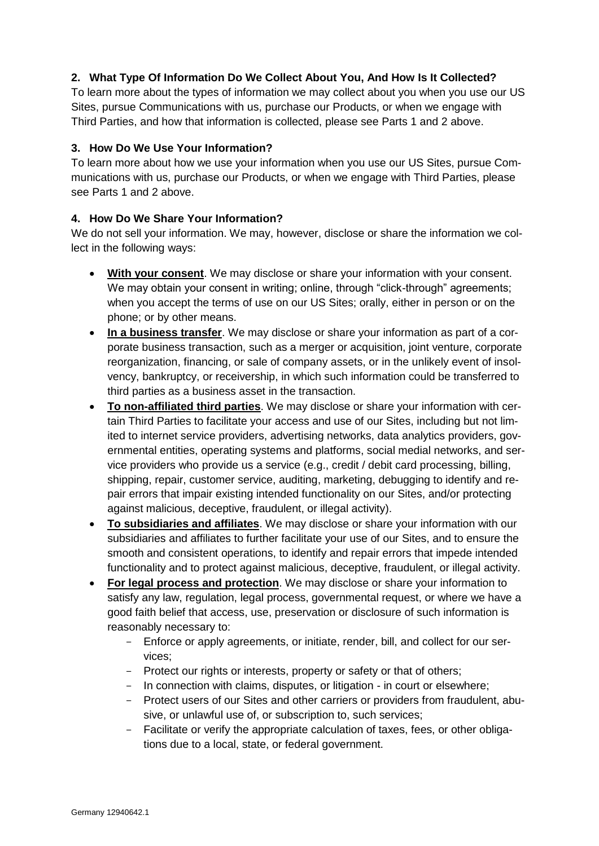## **2. What Type Of Information Do We Collect About You, And How Is It Collected?**

To learn more about the types of information we may collect about you when you use our US Sites, pursue Communications with us, purchase our Products, or when we engage with Third Parties, and how that information is collected, please see Parts 1 and 2 above.

#### **3. How Do We Use Your Information?**

To learn more about how we use your information when you use our US Sites, pursue Communications with us, purchase our Products, or when we engage with Third Parties, please see Parts 1 and 2 above.

## **4. How Do We Share Your Information?**

We do not sell your information. We may, however, disclose or share the information we collect in the following ways:

- **With your consent**. We may disclose or share your information with your consent. We may obtain your consent in writing; online, through "click-through" agreements; when you accept the terms of use on our US Sites; orally, either in person or on the phone; or by other means.
- **In a business transfer**. We may disclose or share your information as part of a corporate business transaction, such as a merger or acquisition, joint venture, corporate reorganization, financing, or sale of company assets, or in the unlikely event of insolvency, bankruptcy, or receivership, in which such information could be transferred to third parties as a business asset in the transaction.
- **To non-affiliated third parties**. We may disclose or share your information with certain Third Parties to facilitate your access and use of our Sites, including but not limited to internet service providers, advertising networks, data analytics providers, governmental entities, operating systems and platforms, social medial networks, and service providers who provide us a service (e.g., credit / debit card processing, billing, shipping, repair, customer service, auditing, marketing, debugging to identify and repair errors that impair existing intended functionality on our Sites, and/or protecting against malicious, deceptive, fraudulent, or illegal activity).
- **To subsidiaries and affiliates**. We may disclose or share your information with our subsidiaries and affiliates to further facilitate your use of our Sites, and to ensure the smooth and consistent operations, to identify and repair errors that impede intended functionality and to protect against malicious, deceptive, fraudulent, or illegal activity.
- **For legal process and protection**. We may disclose or share your information to satisfy any law, regulation, legal process, governmental request, or where we have a good faith belief that access, use, preservation or disclosure of such information is reasonably necessary to:
	- Enforce or apply agreements, or initiate, render, bill, and collect for our services;
	- Protect our rights or interests, property or safety or that of others;
	- In connection with claims, disputes, or litigation in court or elsewhere;
	- Protect users of our Sites and other carriers or providers from fraudulent, abusive, or unlawful use of, or subscription to, such services;
	- Facilitate or verify the appropriate calculation of taxes, fees, or other obligations due to a local, state, or federal government.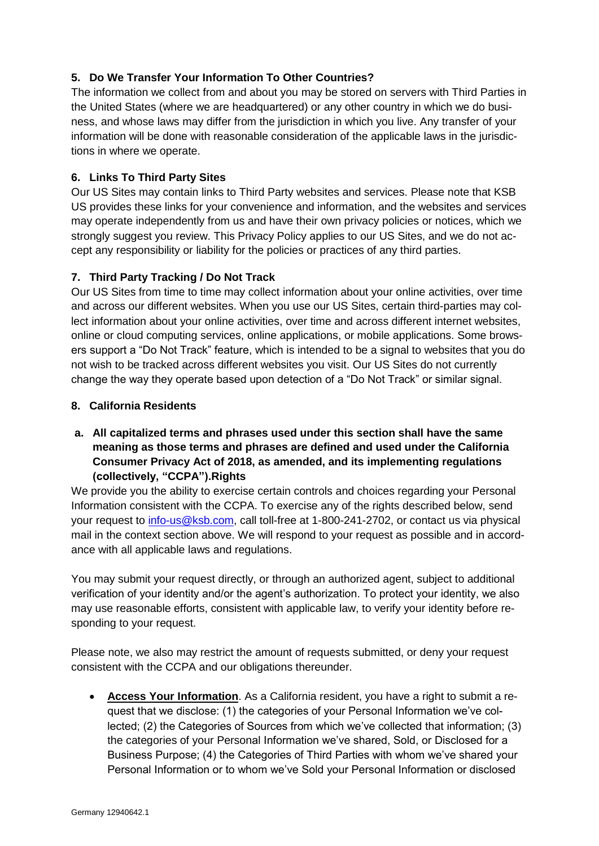## **5. Do We Transfer Your Information To Other Countries?**

The information we collect from and about you may be stored on servers with Third Parties in the United States (where we are headquartered) or any other country in which we do business, and whose laws may differ from the jurisdiction in which you live. Any transfer of your information will be done with reasonable consideration of the applicable laws in the jurisdictions in where we operate.

#### **6. Links To Third Party Sites**

Our US Sites may contain links to Third Party websites and services. Please note that KSB US provides these links for your convenience and information, and the websites and services may operate independently from us and have their own privacy policies or notices, which we strongly suggest you review. This Privacy Policy applies to our US Sites, and we do not accept any responsibility or liability for the policies or practices of any third parties.

#### **7. Third Party Tracking / Do Not Track**

Our US Sites from time to time may collect information about your online activities, over time and across our different websites. When you use our US Sites, certain third-parties may collect information about your online activities, over time and across different internet websites, online or cloud computing services, online applications, or mobile applications. Some browsers support a "Do Not Track" feature, which is intended to be a signal to websites that you do not wish to be tracked across different websites you visit. Our US Sites do not currently change the way they operate based upon detection of a "Do Not Track" or similar signal.

#### **8. California Residents**

## **a. All capitalized terms and phrases used under this section shall have the same meaning as those terms and phrases are defined and used under the California Consumer Privacy Act of 2018, as amended, and its implementing regulations (collectively, "CCPA").Rights**

We provide you the ability to exercise certain controls and choices regarding your Personal Information consistent with the CCPA. To exercise any of the rights described below, send your request to [info-us@ksb.com,](mailto:info-us@ksb.com) call toll-free at 1-800-241-2702, or contact us via physical mail in the context section above. We will respond to your request as possible and in accordance with all applicable laws and regulations.

You may submit your request directly, or through an authorized agent, subject to additional verification of your identity and/or the agent's authorization. To protect your identity, we also may use reasonable efforts, consistent with applicable law, to verify your identity before responding to your request.

Please note, we also may restrict the amount of requests submitted, or deny your request consistent with the CCPA and our obligations thereunder.

 **Access Your Information**. As a California resident, you have a right to submit a request that we disclose: (1) the categories of your Personal Information we've collected; (2) the Categories of Sources from which we've collected that information; (3) the categories of your Personal Information we've shared, Sold, or Disclosed for a Business Purpose; (4) the Categories of Third Parties with whom we've shared your Personal Information or to whom we've Sold your Personal Information or disclosed